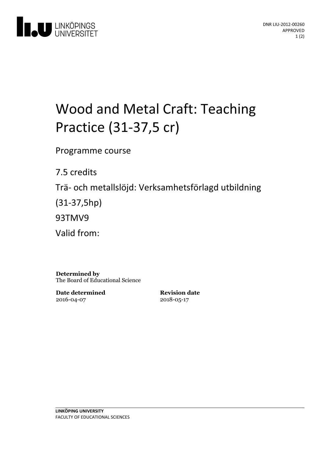

# Wood and Metal Craft: Teaching Practice (31-37,5 cr)

Programme course

7.5 credits

Trä- och metallslöjd: Verksamhetsförlagd utbildning

(31-37,5hp)

93TMV9

Valid from:

**Determined by** The Board of Educational Science

**Date determined** 2016-04-07

**Revision date** 2018-05-17